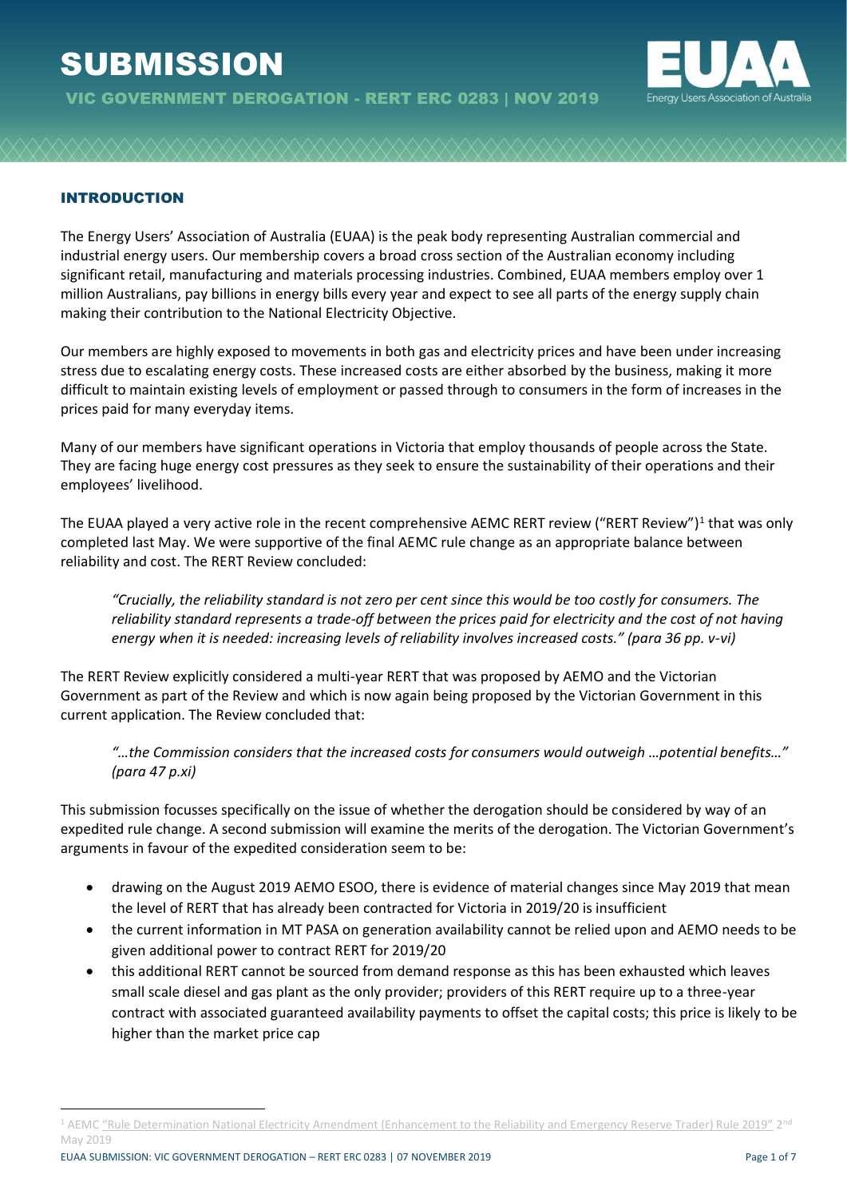# **SUBMISSION**



### INTRODUCTION

The Energy Users' Association of Australia (EUAA) is the peak body representing Australian commercial and industrial energy users. Our membership covers a broad cross section of the Australian economy including significant retail, manufacturing and materials processing industries. Combined, EUAA members employ over 1 million Australians, pay billions in energy bills every year and expect to see all parts of the energy supply chain making their contribution to the National Electricity Objective.

Our members are highly exposed to movements in both gas and electricity prices and have been under increasing stress due to escalating energy costs. These increased costs are either absorbed by the business, making it more difficult to maintain existing levels of employment or passed through to consumers in the form of increases in the prices paid for many everyday items.

Many of our members have significant operations in Victoria that employ thousands of people across the State. They are facing huge energy cost pressures as they seek to ensure the sustainability of their operations and their employees' livelihood.

The EUAA played a very active role in the recent comprehensive AEMC RERT review ("RERT Review")<sup>1</sup> that was only completed last May. We were supportive of the final AEMC rule change as an appropriate balance between reliability and cost. The RERT Review concluded:

*"Crucially, the reliability standard is not zero per cent since this would be too costly for consumers. The reliability standard represents a trade-off between the prices paid for electricity and the cost of not having energy when it is needed: increasing levels of reliability involves increased costs." (para 36 pp. v-vi)*

The RERT Review explicitly considered a multi-year RERT that was proposed by AEMO and the Victorian Government as part of the Review and which is now again being proposed by the Victorian Government in this current application. The Review concluded that:

*"…the Commission considers that the increased costs for consumers would outweigh …potential benefits…" (para 47 p.xi)*

This submission focusses specifically on the issue of whether the derogation should be considered by way of an expedited rule change. A second submission will examine the merits of the derogation. The Victorian Government's arguments in favour of the expedited consideration seem to be:

- drawing on the August 2019 AEMO ESOO, there is evidence of material changes since May 2019 that mean the level of RERT that has already been contracted for Victoria in 2019/20 is insufficient
- the current information in MT PASA on generation availability cannot be relied upon and AEMO needs to be given additional power to contract RERT for 2019/20
- this additional RERT cannot be sourced from demand response as this has been exhausted which leaves small scale diesel and gas plant as the only provider; providers of this RERT require up to a three-year contract with associated guaranteed availability payments to offset the capital costs; this price is likely to be higher than the market price cap

<sup>&</sup>lt;sup>1</sup> AEMC ["Rule Determination National Electricity Amendment \(Enhancement to the Reliability and Emergency Reserve Trader\) Rule 2019"](https://www.aemc.gov.au/rule-changes/enhancement-reliability-and-emergency-reserve-trader) 2<sup>nd</sup> May 2019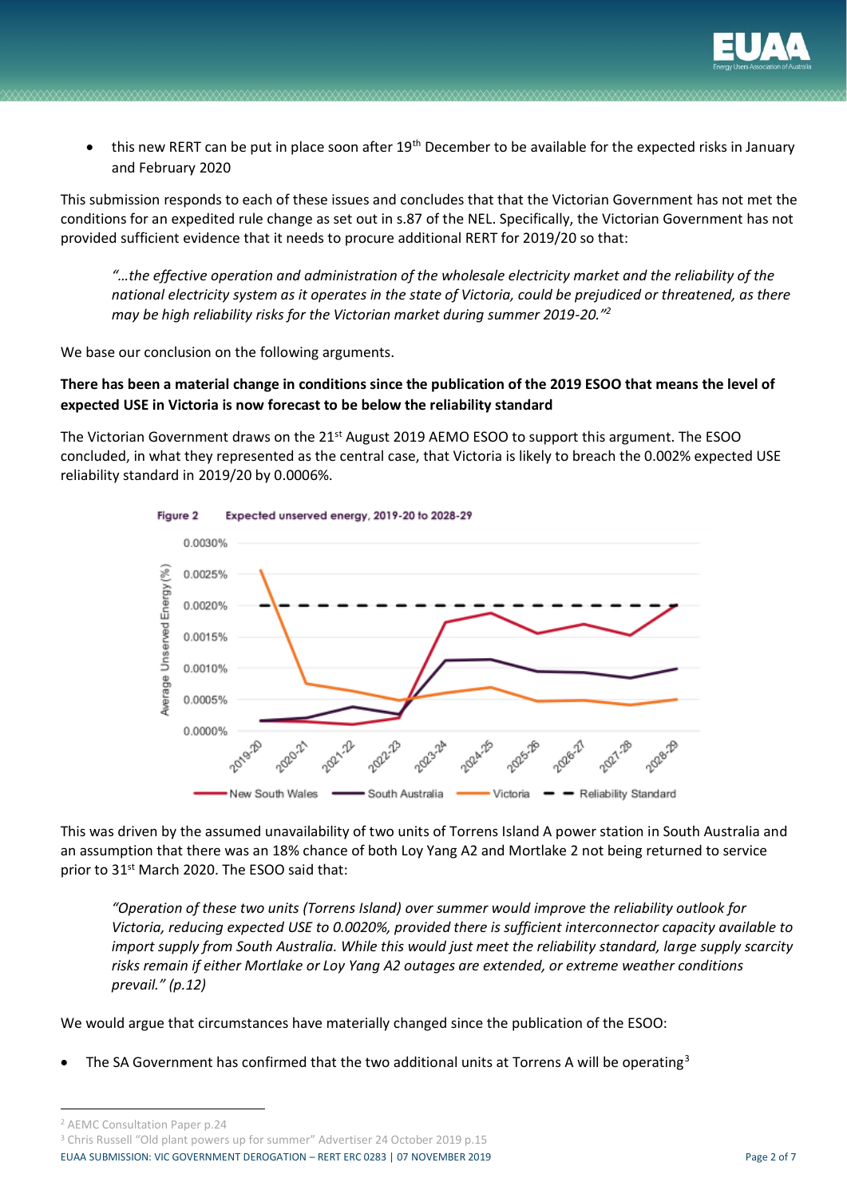

this new RERT can be put in place soon after 19<sup>th</sup> December to be available for the expected risks in January and February 2020

This submission responds to each of these issues and concludes that that the Victorian Government has not met the conditions for an expedited rule change as set out in s.87 of the NEL. Specifically, the Victorian Government has not provided sufficient evidence that it needs to procure additional RERT for 2019/20 so that:

*"…the effective operation and administration of the wholesale electricity market and the reliability of the national electricity system as it operates in the state of Victoria, could be prejudiced or threatened, as there may be high reliability risks for the Victorian market during summer 2019-20."<sup>2</sup>*

We base our conclusion on the following arguments.

## **There has been a material change in conditions since the publication of the 2019 ESOO that means the level of expected USE in Victoria is now forecast to be below the reliability standard**

The Victorian Government draws on the 21<sup>st</sup> August 2019 AEMO ESOO to support this argument. The ESOO concluded, in what they represented as the central case, that Victoria is likely to breach the 0.002% expected USE reliability standard in 2019/20 by 0.0006%.



This was driven by the assumed unavailability of two units of Torrens Island A power station in South Australia and an assumption that there was an 18% chance of both Loy Yang A2 and Mortlake 2 not being returned to service prior to 31<sup>st</sup> March 2020. The ESOO said that:

*"Operation of these two units (Torrens Island) over summer would improve the reliability outlook for Victoria, reducing expected USE to 0.0020%, provided there is sufficient interconnector capacity available to import supply from South Australia. While this would just meet the reliability standard, large supply scarcity risks remain if either Mortlake or Loy Yang A2 outages are extended, or extreme weather conditions prevail." (p.12)*

We would argue that circumstances have materially changed since the publication of the ESOO:

The SA Government has confirmed that the two additional units at Torrens A will be operating<sup>3</sup>

<sup>2</sup> AEMC Consultation Paper p.24

EUAA SUBMISSION: VIC GOVERNMENT DEROGATION – RERT ERC 0283 | 07 NOVEMBER 2019 Page 2 of 7 <sup>3</sup> Chris Russell "Old plant powers up for summer" Advertiser 24 October 2019 p.15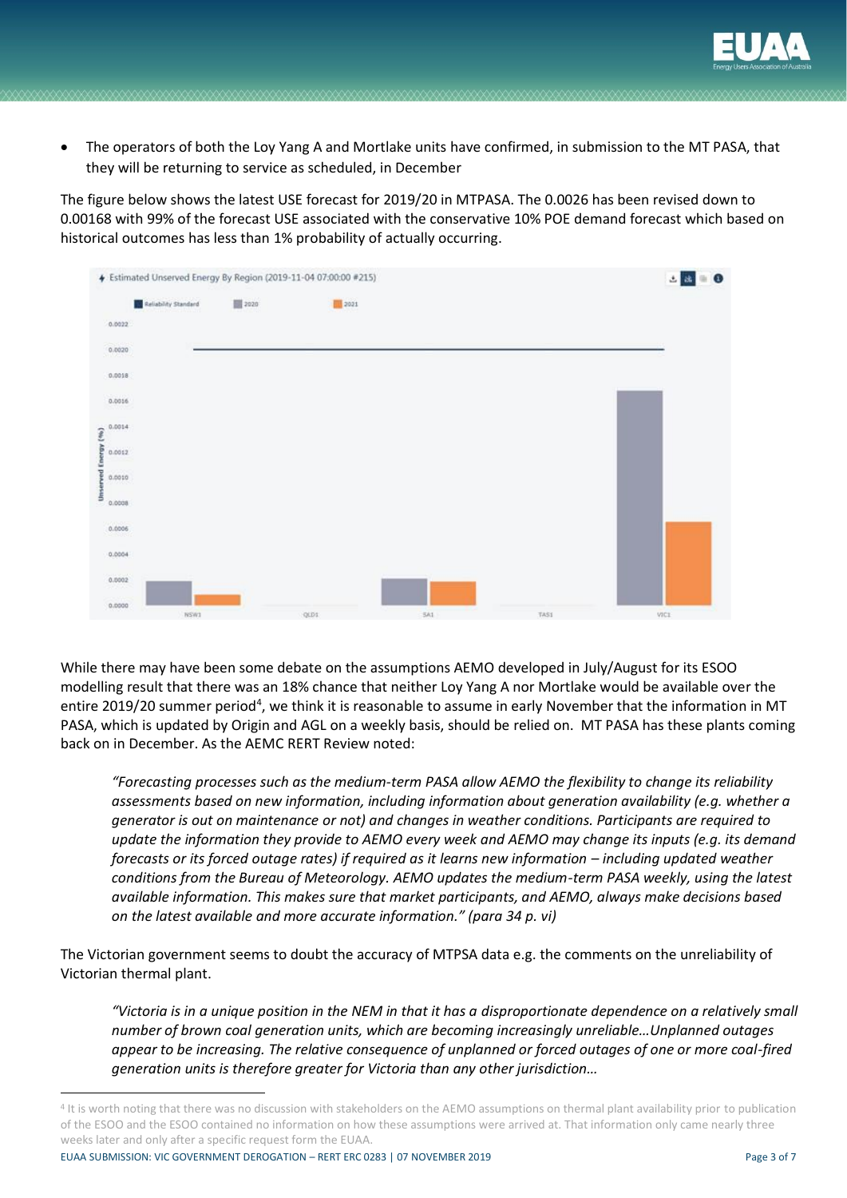

• The operators of both the Loy Yang A and Mortlake units have confirmed, in submission to the MT PASA, that they will be returning to service as scheduled, in December

The figure below shows the latest USE forecast for 2019/20 in MTPASA. The 0.0026 has been revised down to 0.00168 with 99% of the forecast USE associated with the conservative 10% POE demand forecast which based on historical outcomes has less than 1% probability of actually occurring.



While there may have been some debate on the assumptions AEMO developed in July/August for its ESOO modelling result that there was an 18% chance that neither Loy Yang A nor Mortlake would be available over the entire 2019/20 summer period<sup>4</sup>, we think it is reasonable to assume in early November that the information in MT PASA, which is updated by Origin and AGL on a weekly basis, should be relied on. MT PASA has these plants coming back on in December. As the AEMC RERT Review noted:

*"Forecasting processes such as the medium-term PASA allow AEMO the flexibility to change its reliability assessments based on new information, including information about generation availability (e.g. whether a generator is out on maintenance or not) and changes in weather conditions. Participants are required to update the information they provide to AEMO every week and AEMO may change its inputs (e.g. its demand forecasts or its forced outage rates) if required as it learns new information – including updated weather conditions from the Bureau of Meteorology. AEMO updates the medium-term PASA weekly, using the latest available information. This makes sure that market participants, and AEMO, always make decisions based on the latest available and more accurate information." (para 34 p. vi)*

The Victorian government seems to doubt the accuracy of MTPSA data e.g. the comments on the unreliability of Victorian thermal plant.

*"Victoria is in a unique position in the NEM in that it has a disproportionate dependence on a relatively small number of brown coal generation units, which are becoming increasingly unreliable…Unplanned outages appear to be increasing. The relative consequence of unplanned or forced outages of one or more coal-fired generation units is therefore greater for Victoria than any other jurisdiction…*

EUAA SUBMISSION: VIC GOVERNMENT DEROGATION – RERT ERC 0283 | 07 NOVEMBER 2019 Page 3 of 7

<sup>&</sup>lt;sup>4</sup> It is worth noting that there was no discussion with stakeholders on the AEMO assumptions on thermal plant availability prior to publication of the ESOO and the ESOO contained no information on how these assumptions were arrived at. That information only came nearly three weeks later and only after a specific request form the EUAA.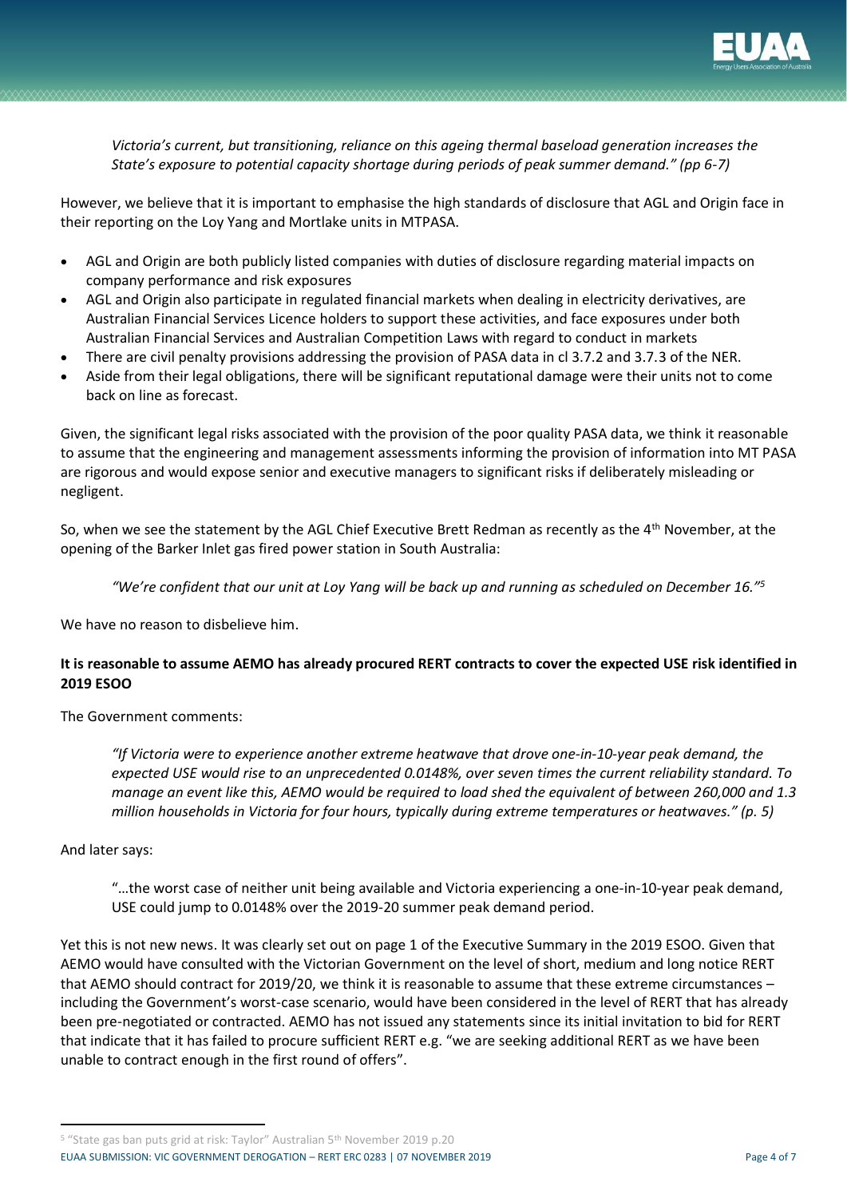

*Victoria's current, but transitioning, reliance on this ageing thermal baseload generation increases the State's exposure to potential capacity shortage during periods of peak summer demand." (pp 6-7)*

However, we believe that it is important to emphasise the high standards of disclosure that AGL and Origin face in their reporting on the Loy Yang and Mortlake units in MTPASA.

- AGL and Origin are both publicly listed companies with duties of disclosure regarding material impacts on company performance and risk exposures
- AGL and Origin also participate in regulated financial markets when dealing in electricity derivatives, are Australian Financial Services Licence holders to support these activities, and face exposures under both Australian Financial Services and Australian Competition Laws with regard to conduct in markets
- There are civil penalty provisions addressing the provision of PASA data in cl 3.7.2 and 3.7.3 of the NER.
- Aside from their legal obligations, there will be significant reputational damage were their units not to come back on line as forecast.

Given, the significant legal risks associated with the provision of the poor quality PASA data, we think it reasonable to assume that the engineering and management assessments informing the provision of information into MT PASA are rigorous and would expose senior and executive managers to significant risks if deliberately misleading or negligent.

So, when we see the statement by the AGL Chief Executive Brett Redman as recently as the 4<sup>th</sup> November, at the opening of the Barker Inlet gas fired power station in South Australia:

*"We're confident that our unit at Loy Yang will be back up and running as scheduled on December 16."<sup>5</sup>*

We have no reason to disbelieve him.

## **It is reasonable to assume AEMO has already procured RERT contracts to cover the expected USE risk identified in 2019 ESOO**

The Government comments:

*"If Victoria were to experience another extreme heatwave that drove one-in-10-year peak demand, the expected USE would rise to an unprecedented 0.0148%, over seven times the current reliability standard. To manage an event like this, AEMO would be required to load shed the equivalent of between 260,000 and 1.3 million households in Victoria for four hours, typically during extreme temperatures or heatwaves." (p. 5)*

#### And later says:

"…the worst case of neither unit being available and Victoria experiencing a one-in-10-year peak demand, USE could jump to 0.0148% over the 2019-20 summer peak demand period.

Yet this is not new news. It was clearly set out on page 1 of the Executive Summary in the 2019 ESOO. Given that AEMO would have consulted with the Victorian Government on the level of short, medium and long notice RERT that AEMO should contract for 2019/20, we think it is reasonable to assume that these extreme circumstances – including the Government's worst-case scenario, would have been considered in the level of RERT that has already been pre-negotiated or contracted. AEMO has not issued any statements since its initial invitation to bid for RERT that indicate that it has failed to procure sufficient RERT e.g. "we are seeking additional RERT as we have been unable to contract enough in the first round of offers".

<sup>5</sup> "State gas ban puts grid at risk: Taylor" Australian 5th November 2019 p.20

EUAA SUBMISSION: VIC GOVERNMENT DEROGATION – RERT ERC 0283 | 07 NOVEMBER 2019 Page 4 of 7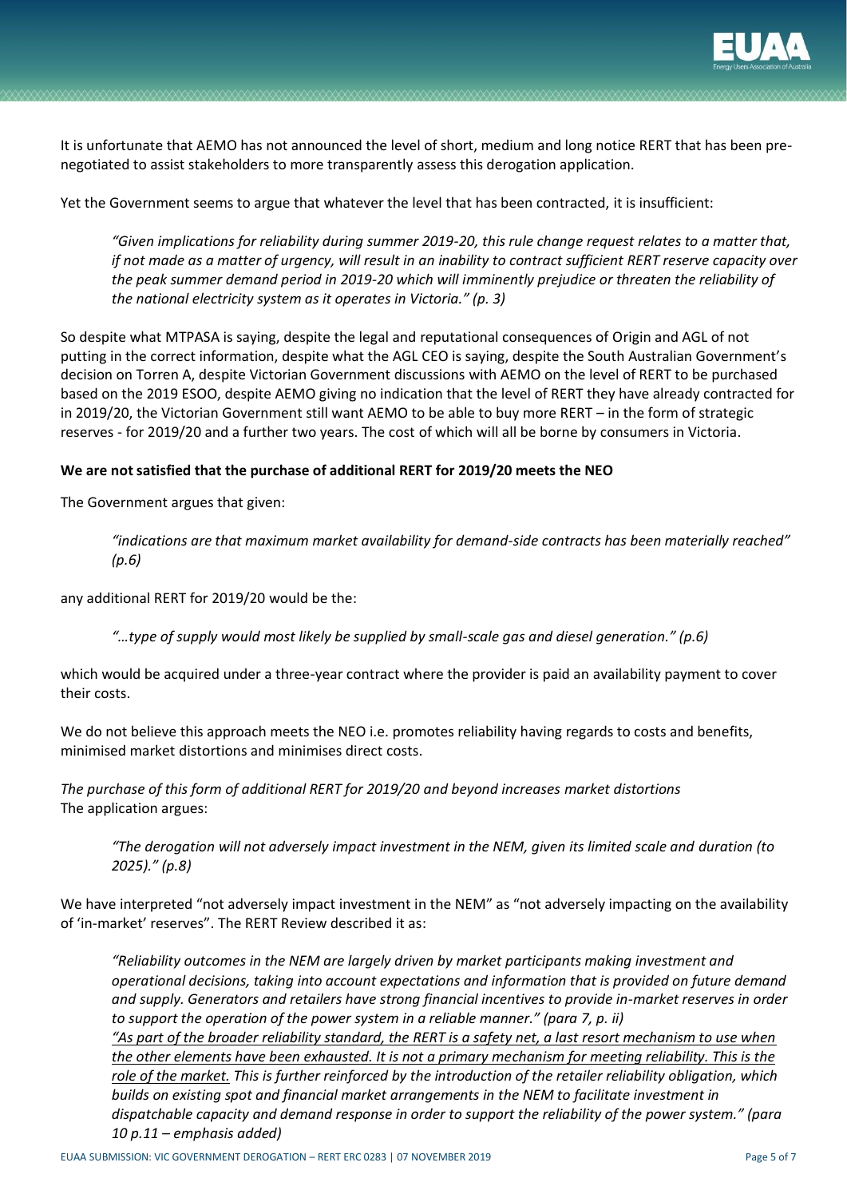

It is unfortunate that AEMO has not announced the level of short, medium and long notice RERT that has been prenegotiated to assist stakeholders to more transparently assess this derogation application.

Yet the Government seems to argue that whatever the level that has been contracted, it is insufficient:

*"Given implications for reliability during summer 2019-20, this rule change request relates to a matter that, if not made as a matter of urgency, will result in an inability to contract sufficient RERT reserve capacity over the peak summer demand period in 2019-20 which will imminently prejudice or threaten the reliability of the national electricity system as it operates in Victoria." (p. 3)*

So despite what MTPASA is saying, despite the legal and reputational consequences of Origin and AGL of not putting in the correct information, despite what the AGL CEO is saying, despite the South Australian Government's decision on Torren A, despite Victorian Government discussions with AEMO on the level of RERT to be purchased based on the 2019 ESOO, despite AEMO giving no indication that the level of RERT they have already contracted for in 2019/20, the Victorian Government still want AEMO to be able to buy more RERT – in the form of strategic reserves - for 2019/20 and a further two years. The cost of which will all be borne by consumers in Victoria.

#### **We are not satisfied that the purchase of additional RERT for 2019/20 meets the NEO**

The Government argues that given:

*"indications are that maximum market availability for demand-side contracts has been materially reached" (p.6)*

any additional RERT for 2019/20 would be the:

*"…type of supply would most likely be supplied by small-scale gas and diesel generation." (p.6)* 

which would be acquired under a three-year contract where the provider is paid an availability payment to cover their costs.

We do not believe this approach meets the NEO i.e. promotes reliability having regards to costs and benefits, minimised market distortions and minimises direct costs.

*The purchase of this form of additional RERT for 2019/20 and beyond increases market distortions* The application argues:

*"The derogation will not adversely impact investment in the NEM, given its limited scale and duration (to 2025)." (p.8)*

We have interpreted "not adversely impact investment in the NEM" as "not adversely impacting on the availability of 'in-market' reserves". The RERT Review described it as:

*"Reliability outcomes in the NEM are largely driven by market participants making investment and operational decisions, taking into account expectations and information that is provided on future demand and supply. Generators and retailers have strong financial incentives to provide in-market reserves in order to support the operation of the power system in a reliable manner." (para 7, p. ii)*

*"As part of the broader reliability standard, the RERT is a safety net, a last resort mechanism to use when the other elements have been exhausted. It is not a primary mechanism for meeting reliability. This is the role of the market. This is further reinforced by the introduction of the retailer reliability obligation, which builds on existing spot and financial market arrangements in the NEM to facilitate investment in dispatchable capacity and demand response in order to support the reliability of the power system." (para 10 p.11 – emphasis added)*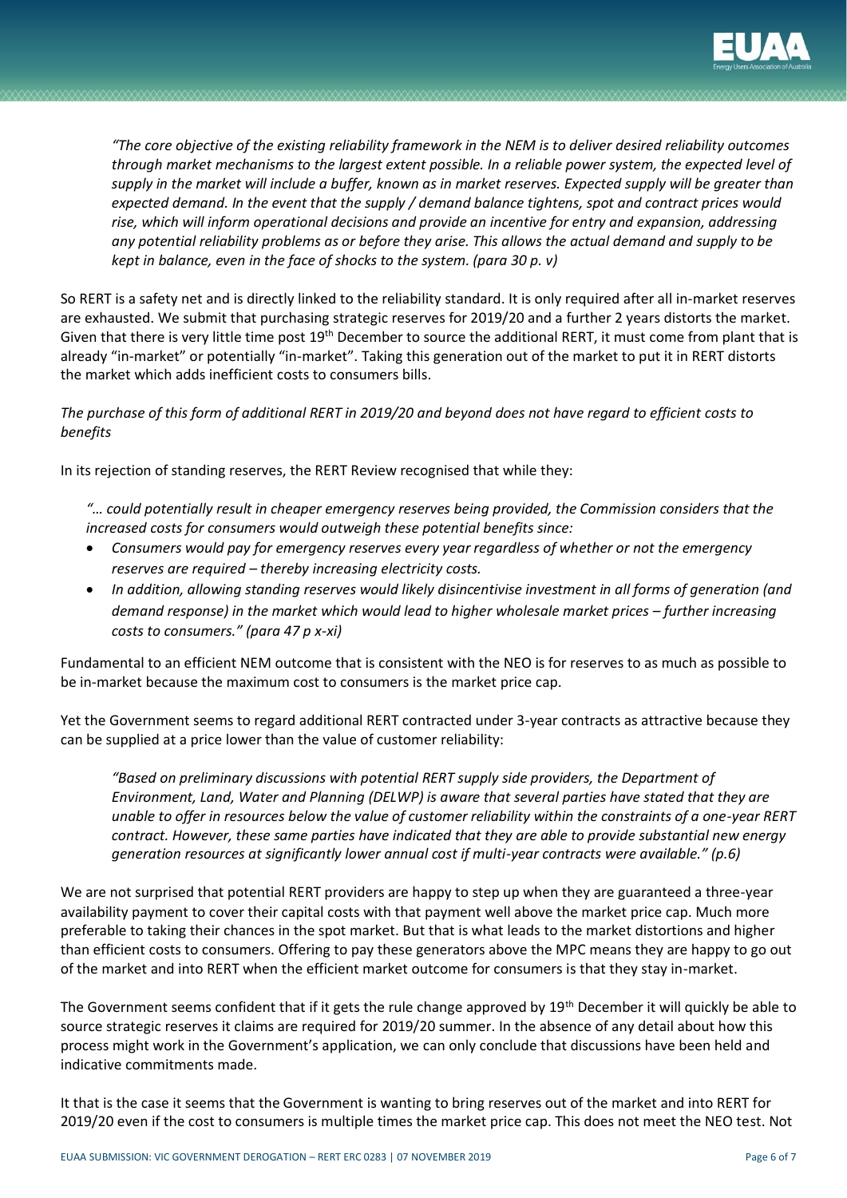

*"The core objective of the existing reliability framework in the NEM is to deliver desired reliability outcomes through market mechanisms to the largest extent possible. In a reliable power system, the expected level of supply in the market will include a buffer, known as in market reserves. Expected supply will be greater than expected demand. In the event that the supply / demand balance tightens, spot and contract prices would rise, which will inform operational decisions and provide an incentive for entry and expansion, addressing any potential reliability problems as or before they arise. This allows the actual demand and supply to be kept in balance, even in the face of shocks to the system. (para 30 p. v)*

So RERT is a safety net and is directly linked to the reliability standard. It is only required after all in-market reserves are exhausted. We submit that purchasing strategic reserves for 2019/20 and a further 2 years distorts the market. Given that there is very little time post 19<sup>th</sup> December to source the additional RERT, it must come from plant that is already "in-market" or potentially "in-market". Taking this generation out of the market to put it in RERT distorts the market which adds inefficient costs to consumers bills.

*The purchase of this form of additional RERT in 2019/20 and beyond does not have regard to efficient costs to benefits* 

In its rejection of standing reserves, the RERT Review recognised that while they:

- *"… could potentially result in cheaper emergency reserves being provided, the Commission considers that the increased costs for consumers would outweigh these potential benefits since:*
- *Consumers would pay for emergency reserves every year regardless of whether or not the emergency reserves are required – thereby increasing electricity costs.*
- *In addition, allowing standing reserves would likely disincentivise investment in all forms of generation (and demand response) in the market which would lead to higher wholesale market prices – further increasing costs to consumers." (para 47 p x-xi)*

Fundamental to an efficient NEM outcome that is consistent with the NEO is for reserves to as much as possible to be in-market because the maximum cost to consumers is the market price cap.

Yet the Government seems to regard additional RERT contracted under 3-year contracts as attractive because they can be supplied at a price lower than the value of customer reliability:

*"Based on preliminary discussions with potential RERT supply side providers, the Department of Environment, Land, Water and Planning (DELWP) is aware that several parties have stated that they are unable to offer in resources below the value of customer reliability within the constraints of a one-year RERT contract. However, these same parties have indicated that they are able to provide substantial new energy generation resources at significantly lower annual cost if multi-year contracts were available." (p.6)*

We are not surprised that potential RERT providers are happy to step up when they are guaranteed a three-year availability payment to cover their capital costs with that payment well above the market price cap. Much more preferable to taking their chances in the spot market. But that is what leads to the market distortions and higher than efficient costs to consumers. Offering to pay these generators above the MPC means they are happy to go out of the market and into RERT when the efficient market outcome for consumers is that they stay in-market.

The Government seems confident that if it gets the rule change approved by 19<sup>th</sup> December it will quickly be able to source strategic reserves it claims are required for 2019/20 summer. In the absence of any detail about how this process might work in the Government's application, we can only conclude that discussions have been held and indicative commitments made.

It that is the case it seems that the Government is wanting to bring reserves out of the market and into RERT for 2019/20 even if the cost to consumers is multiple times the market price cap. This does not meet the NEO test. Not